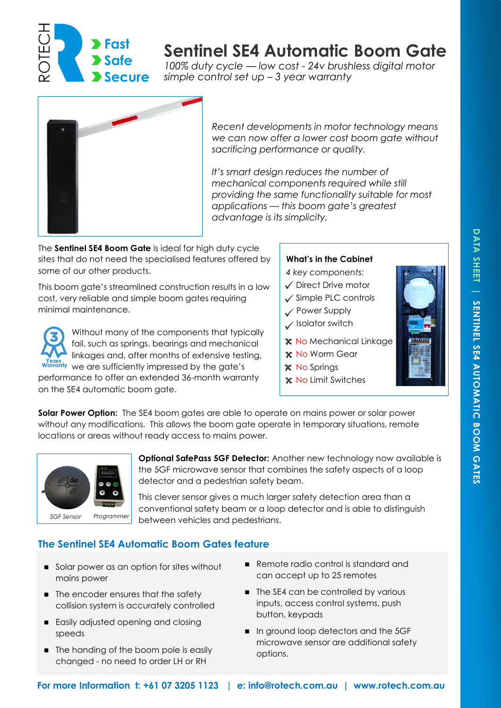

# **Sentinel SE4 Automatic Boom Gate**

*100% duty cycle — low cost - 24v brushless digital motor simple control set up – 3 year warranty*



*Recent developments in motor technology means we can now offer a lower cost boom gate without sacrificing performance or quality.*

*It's smart design reduces the number of mechanical components required while still providing the same functionality suitable for most applications — this boom gate's greatest advantage is its simplicity.*

The **Sentinel SE4 Boom Gate** is ideal for high duty cycle sites that do not need the specialised features offered by some of our other products.

This boom gate's streamlined construction results in a low cost, very reliable and simple boom gates requiring minimal maintenance.

Without many of the components that typically fail, such as springs, bearings and mechanical linkages and, after months of extensive testing, Warranty we are sufficiently impressed by the gate's performance to offer an extended 36-month warranty on the SE4 automatic boom gate.

#### **What's in the Cabinet**

*4 key components:* 

- Direct Drive motor
- $\checkmark$  Simple PLC controls
- Power Supply
- $\checkmark$  Isolator switch
- **X** No Mechanical Linkage
- **x** No Worm Gear
- **x** No Springs
- **x** No Limit Switches

**Solar Power Option:** The SE4 boom gates are able to operate on mains power or solar power without any modifications. This allows the boom gate operate in temporary situations, remote locations or areas without ready access to mains power.



**Optional SafePass 5GF Detector:** Another new technology now available is the 5GF microwave sensor that combines the safety aspects of a loop detector and a pedestrian safety beam.

This clever sensor gives a much larger safety detection area than a conventional safety beam or a loop detector and is able to distinguish between vehicles and pedestrians. *5GF Sensor Programmer*

## **The Sentinel SE4 Automatic Boom Gates feature**

- Solar power as an option for sites without mains power
- The encoder ensures that the safety collision system is accurately controlled
- Easily adjusted opening and closing speeds
- The handing of the boom pole is easily changed - no need to order LH or RH
- Remote radio control is standard and can accept up to 25 remotes
- The SE4 can be controlled by various inputs, access control systems, push button, keypads
- In ground loop detectors and the 5GF microwave sensor are additional safety options.